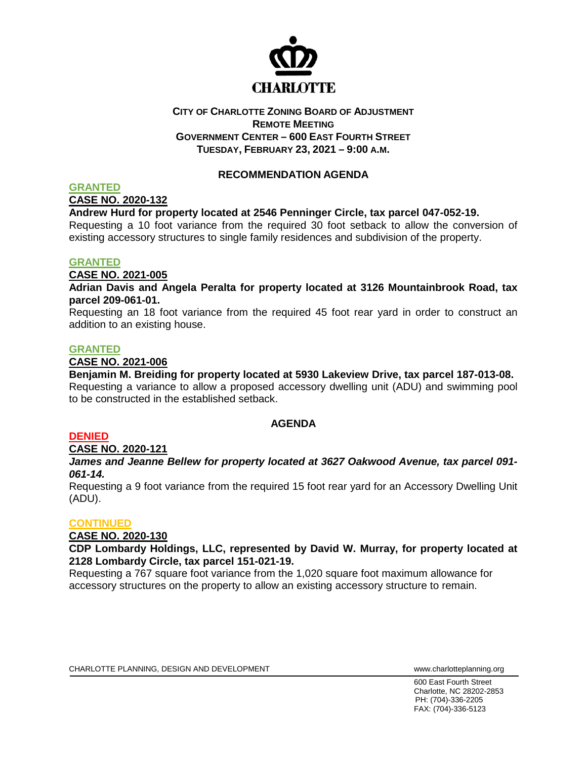

# **CITY OF CHARLOTTE ZONING BOARD OF ADJUSTMENT REMOTE MEETING GOVERNMENT CENTER – 600 EAST FOURTH STREET TUESDAY, FEBRUARY 23, 2021 – 9:00 A.M.**

# **RECOMMENDATION AGENDA**

## **GRANTED**

**CASE NO. 2020-132**

## **Andrew Hurd for property located at 2546 Penninger Circle, tax parcel 047-052-19.**

Requesting a 10 foot variance from the required 30 foot setback to allow the conversion of existing accessory structures to single family residences and subdivision of the property.

### **GRANTED**

**CASE NO. 2021-005**

**Adrian Davis and Angela Peralta for property located at 3126 Mountainbrook Road, tax parcel 209-061-01.**

Requesting an 18 foot variance from the required 45 foot rear yard in order to construct an addition to an existing house.

### **GRANTED**

### **CASE NO. 2021-006**

**Benjamin M. Breiding for property located at 5930 Lakeview Drive, tax parcel 187-013-08.** Requesting a variance to allow a proposed accessory dwelling unit (ADU) and swimming pool to be constructed in the established setback.

# **AGENDA**

### **DENIED**

### **CASE NO. 2020-121**

## *James and Jeanne Bellew for property located at 3627 Oakwood Avenue, tax parcel 091- 061-14.*

Requesting a 9 foot variance from the required 15 foot rear yard for an Accessory Dwelling Unit (ADU).

### **CONTINUED**

# **CASE NO. 2020-130**

**CDP Lombardy Holdings, LLC, represented by David W. Murray, for property located at 2128 Lombardy Circle, tax parcel 151-021-19.**

Requesting a 767 square foot variance from the 1,020 square foot maximum allowance for accessory structures on the property to allow an existing accessory structure to remain.

600 East Fourth Street Charlotte, NC 28202-2853 PH: (704)-336-2205 FAX: (704)-336-5123